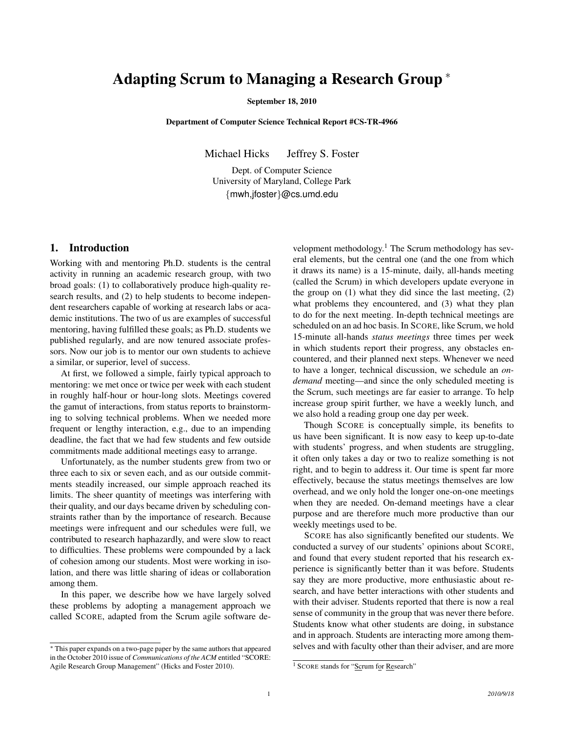# Adapting Scrum to Managing a Research Group <sup>∗</sup>

#### September 18, 2010

Department of Computer Science Technical Report #CS-TR-4966

Michael Hicks Jeffrey S. Foster

Dept. of Computer Science University of Maryland, College Park {mwh,jfoster}@cs.umd.edu

## 1. Introduction

Working with and mentoring Ph.D. students is the central activity in running an academic research group, with two broad goals: (1) to collaboratively produce high-quality research results, and (2) to help students to become independent researchers capable of working at research labs or academic institutions. The two of us are examples of successful mentoring, having fulfilled these goals; as Ph.D. students we published regularly, and are now tenured associate professors. Now our job is to mentor our own students to achieve a similar, or superior, level of success.

At first, we followed a simple, fairly typical approach to mentoring: we met once or twice per week with each student in roughly half-hour or hour-long slots. Meetings covered the gamut of interactions, from status reports to brainstorming to solving technical problems. When we needed more frequent or lengthy interaction, e.g., due to an impending deadline, the fact that we had few students and few outside commitments made additional meetings easy to arrange.

Unfortunately, as the number students grew from two or three each to six or seven each, and as our outside commitments steadily increased, our simple approach reached its limits. The sheer quantity of meetings was interfering with their quality, and our days became driven by scheduling constraints rather than by the importance of research. Because meetings were infrequent and our schedules were full, we contributed to research haphazardly, and were slow to react to difficulties. These problems were compounded by a lack of cohesion among our students. Most were working in isolation, and there was little sharing of ideas or collaboration among them.

In this paper, we describe how we have largely solved these problems by adopting a management approach we called SCORE, adapted from the Scrum agile software de-

velopment methodology.<sup>1</sup> The Scrum methodology has several elements, but the central one (and the one from which it draws its name) is a 15-minute, daily, all-hands meeting (called the Scrum) in which developers update everyone in the group on  $(1)$  what they did since the last meeting,  $(2)$ what problems they encountered, and (3) what they plan to do for the next meeting. In-depth technical meetings are scheduled on an ad hoc basis. In SCORE, like Scrum, we hold 15-minute all-hands *status meetings* three times per week in which students report their progress, any obstacles encountered, and their planned next steps. Whenever we need to have a longer, technical discussion, we schedule an *ondemand* meeting—and since the only scheduled meeting is the Scrum, such meetings are far easier to arrange. To help increase group spirit further, we have a weekly lunch, and we also hold a reading group one day per week.

Though SCORE is conceptually simple, its benefits to us have been significant. It is now easy to keep up-to-date with students' progress, and when students are struggling, it often only takes a day or two to realize something is not right, and to begin to address it. Our time is spent far more effectively, because the status meetings themselves are low overhead, and we only hold the longer one-on-one meetings when they are needed. On-demand meetings have a clear purpose and are therefore much more productive than our weekly meetings used to be.

SCORE has also significantly benefited our students. We conducted a survey of our students' opinions about SCORE, and found that every student reported that his research experience is significantly better than it was before. Students say they are more productive, more enthusiastic about research, and have better interactions with other students and with their adviser. Students reported that there is now a real sense of community in the group that was never there before. Students know what other students are doing, in substance and in approach. Students are interacting more among themselves and with faculty other than their adviser, and are more

<sup>∗</sup> This paper expands on a two-page paper by the same authors that appeared in the October 2010 issue of *Communications of the ACM* entitled "SCORE: Agile Research Group Management" (Hicks and Foster 2010).

<sup>1</sup> SCORE stands for "Scrum for Research"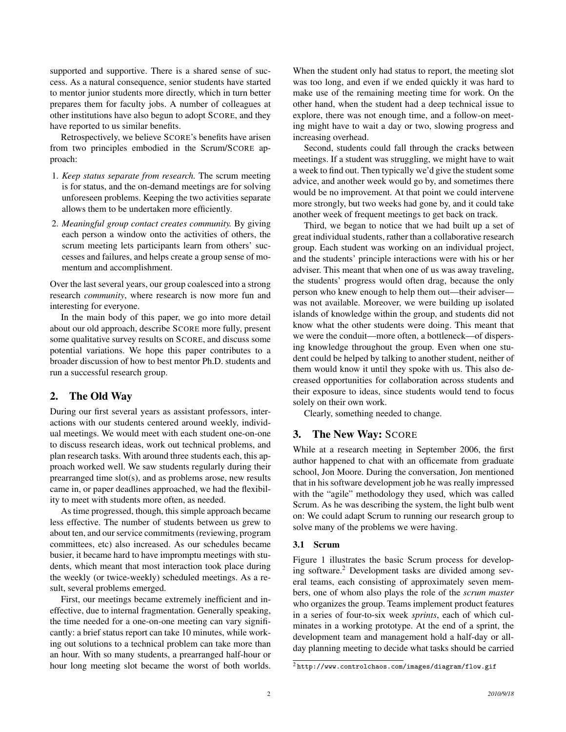supported and supportive. There is a shared sense of success. As a natural consequence, senior students have started to mentor junior students more directly, which in turn better prepares them for faculty jobs. A number of colleagues at other institutions have also begun to adopt SCORE, and they have reported to us similar benefits.

Retrospectively, we believe SCORE's benefits have arisen from two principles embodied in the Scrum/SCORE approach:

- 1. *Keep status separate from research.* The scrum meeting is for status, and the on-demand meetings are for solving unforeseen problems. Keeping the two activities separate allows them to be undertaken more efficiently.
- 2. *Meaningful group contact creates community.* By giving each person a window onto the activities of others, the scrum meeting lets participants learn from others' successes and failures, and helps create a group sense of momentum and accomplishment.

Over the last several years, our group coalesced into a strong research *community*, where research is now more fun and interesting for everyone.

In the main body of this paper, we go into more detail about our old approach, describe SCORE more fully, present some qualitative survey results on SCORE, and discuss some potential variations. We hope this paper contributes to a broader discussion of how to best mentor Ph.D. students and run a successful research group.

## 2. The Old Way

During our first several years as assistant professors, interactions with our students centered around weekly, individual meetings. We would meet with each student one-on-one to discuss research ideas, work out technical problems, and plan research tasks. With around three students each, this approach worked well. We saw students regularly during their prearranged time slot(s), and as problems arose, new results came in, or paper deadlines approached, we had the flexibility to meet with students more often, as needed.

As time progressed, though, this simple approach became less effective. The number of students between us grew to about ten, and our service commitments (reviewing, program committees, etc) also increased. As our schedules became busier, it became hard to have impromptu meetings with students, which meant that most interaction took place during the weekly (or twice-weekly) scheduled meetings. As a result, several problems emerged.

First, our meetings became extremely inefficient and ineffective, due to internal fragmentation. Generally speaking, the time needed for a one-on-one meeting can vary significantly: a brief status report can take 10 minutes, while working out solutions to a technical problem can take more than an hour. With so many students, a prearranged half-hour or hour long meeting slot became the worst of both worlds.

When the student only had status to report, the meeting slot was too long, and even if we ended quickly it was hard to make use of the remaining meeting time for work. On the other hand, when the student had a deep technical issue to explore, there was not enough time, and a follow-on meeting might have to wait a day or two, slowing progress and increasing overhead.

Second, students could fall through the cracks between meetings. If a student was struggling, we might have to wait a week to find out. Then typically we'd give the student some advice, and another week would go by, and sometimes there would be no improvement. At that point we could intervene more strongly, but two weeks had gone by, and it could take another week of frequent meetings to get back on track.

Third, we began to notice that we had built up a set of great individual students, rather than a collaborative research group. Each student was working on an individual project, and the students' principle interactions were with his or her adviser. This meant that when one of us was away traveling, the students' progress would often drag, because the only person who knew enough to help them out—their adviser was not available. Moreover, we were building up isolated islands of knowledge within the group, and students did not know what the other students were doing. This meant that we were the conduit—more often, a bottleneck—of dispersing knowledge throughout the group. Even when one student could be helped by talking to another student, neither of them would know it until they spoke with us. This also decreased opportunities for collaboration across students and their exposure to ideas, since students would tend to focus solely on their own work.

Clearly, something needed to change.

### 3. The New Way: SCORE

While at a research meeting in September 2006, the first author happened to chat with an officemate from graduate school, Jon Moore. During the conversation, Jon mentioned that in his software development job he was really impressed with the "agile" methodology they used, which was called Scrum. As he was describing the system, the light bulb went on: We could adapt Scrum to running our research group to solve many of the problems we were having.

## 3.1 Scrum

Figure 1 illustrates the basic Scrum process for developing software.<sup>2</sup> Development tasks are divided among several teams, each consisting of approximately seven members, one of whom also plays the role of the *scrum master* who organizes the group. Teams implement product features in a series of four-to-six week *sprints*, each of which culminates in a working prototype. At the end of a sprint, the development team and management hold a half-day or allday planning meeting to decide what tasks should be carried

<sup>2</sup> http://www.controlchaos.com/images/diagram/flow.gif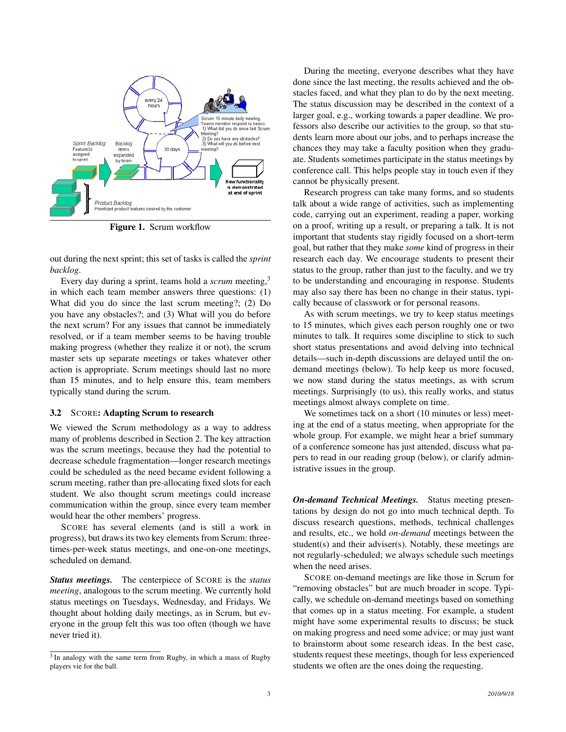

Figure 1. Scrum workflow

out during the next sprint; this set of tasks is called the *sprint backlog*.

Every day during a sprint, teams hold a *scrum* meeting,<sup>3</sup> in which each team member answers three questions: (1) What did you do since the last scrum meeting?; (2) Do you have any obstacles?; and (3) What will you do before the next scrum? For any issues that cannot be immediately resolved, or if a team member seems to be having trouble making progress (whether they realize it or not), the scrum master sets up separate meetings or takes whatever other action is appropriate. Scrum meetings should last no more than 15 minutes, and to help ensure this, team members typically stand during the scrum.

#### 3.2 SCORE: Adapting Scrum to research

We viewed the Scrum methodology as a way to address many of problems described in Section 2. The key attraction was the scrum meetings, because they had the potential to decrease schedule fragmentation—longer research meetings could be scheduled as the need became evident following a scrum meeting, rather than pre-allocating fixed slots for each student. We also thought scrum meetings could increase communication within the group, since every team member would hear the other members' progress.

SCORE has several elements (and is still a work in progress), but draws its two key elements from Scrum: threetimes-per-week status meetings, and one-on-one meetings, scheduled on demand.

*Status meetings.* The centerpiece of SCORE is the *status meeting*, analogous to the scrum meeting. We currently hold status meetings on Tuesdays, Wednesday, and Fridays. We thought about holding daily meetings, as in Scrum, but everyone in the group felt this was too often (though we have never tried it).

During the meeting, everyone describes what they have done since the last meeting, the results achieved and the obstacles faced, and what they plan to do by the next meeting. The status discussion may be described in the context of a larger goal, e.g., working towards a paper deadline. We professors also describe our activities to the group, so that students learn more about our jobs, and to perhaps increase the chances they may take a faculty position when they graduate. Students sometimes participate in the status meetings by conference call. This helps people stay in touch even if they cannot be physically present.

Research progress can take many forms, and so students talk about a wide range of activities, such as implementing code, carrying out an experiment, reading a paper, working on a proof, writing up a result, or preparing a talk. It is not important that students stay rigidly focused on a short-term goal, but rather that they make *some* kind of progress in their research each day. We encourage students to present their status to the group, rather than just to the faculty, and we try to be understanding and encouraging in response. Students may also say there has been no change in their status, typically because of classwork or for personal reasons.

As with scrum meetings, we try to keep status meetings to 15 minutes, which gives each person roughly one or two minutes to talk. It requires some discipline to stick to such short status presentations and avoid delving into technical details—such in-depth discussions are delayed until the ondemand meetings (below). To help keep us more focused, we now stand during the status meetings, as with scrum meetings. Surprisingly (to us), this really works, and status meetings almost always complete on time.

We sometimes tack on a short (10 minutes or less) meeting at the end of a status meeting, when appropriate for the whole group. For example, we might hear a brief summary of a conference someone has just attended, discuss what papers to read in our reading group (below), or clarify administrative issues in the group.

*On-demand Technical Meetings.* Status meeting presentations by design do not go into much technical depth. To discuss research questions, methods, technical challenges and results, etc., we hold *on-demand* meetings between the student(s) and their adviser(s). Notably, these meetings are not regularly-scheduled; we always schedule such meetings when the need arises.

SCORE on-demand meetings are like those in Scrum for "removing obstacles" but are much broader in scope. Typically, we schedule on-demand meetings based on something that comes up in a status meeting. For example, a student might have some experimental results to discuss; be stuck on making progress and need some advice; or may just want to brainstorm about some research ideas. In the best case, students request these meetings, though for less experienced students we often are the ones doing the requesting.

<sup>&</sup>lt;sup>3</sup> In analogy with the same term from Rugby, in which a mass of Rugby players vie for the ball.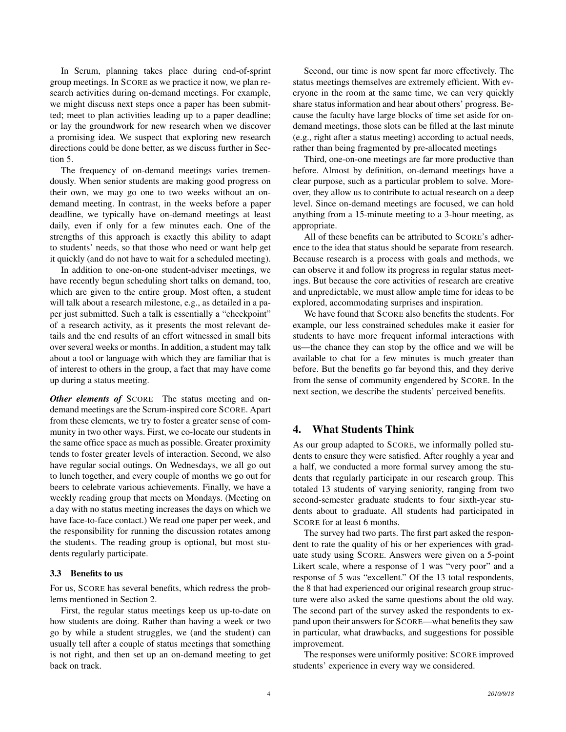In Scrum, planning takes place during end-of-sprint group meetings. In SCORE as we practice it now, we plan research activities during on-demand meetings. For example, we might discuss next steps once a paper has been submitted; meet to plan activities leading up to a paper deadline; or lay the groundwork for new research when we discover a promising idea. We suspect that exploring new research directions could be done better, as we discuss further in Section 5.

The frequency of on-demand meetings varies tremendously. When senior students are making good progress on their own, we may go one to two weeks without an ondemand meeting. In contrast, in the weeks before a paper deadline, we typically have on-demand meetings at least daily, even if only for a few minutes each. One of the strengths of this approach is exactly this ability to adapt to students' needs, so that those who need or want help get it quickly (and do not have to wait for a scheduled meeting).

In addition to one-on-one student-adviser meetings, we have recently begun scheduling short talks on demand, too, which are given to the entire group. Most often, a student will talk about a research milestone, e.g., as detailed in a paper just submitted. Such a talk is essentially a "checkpoint" of a research activity, as it presents the most relevant details and the end results of an effort witnessed in small bits over several weeks or months. In addition, a student may talk about a tool or language with which they are familiar that is of interest to others in the group, a fact that may have come up during a status meeting.

*Other elements of* SCORE The status meeting and ondemand meetings are the Scrum-inspired core SCORE. Apart from these elements, we try to foster a greater sense of community in two other ways. First, we co-locate our students in the same office space as much as possible. Greater proximity tends to foster greater levels of interaction. Second, we also have regular social outings. On Wednesdays, we all go out to lunch together, and every couple of months we go out for beers to celebrate various achievements. Finally, we have a weekly reading group that meets on Mondays. (Meeting on a day with no status meeting increases the days on which we have face-to-face contact.) We read one paper per week, and the responsibility for running the discussion rotates among the students. The reading group is optional, but most students regularly participate.

### 3.3 Benefits to us

For us, SCORE has several benefits, which redress the problems mentioned in Section 2.

First, the regular status meetings keep us up-to-date on how students are doing. Rather than having a week or two go by while a student struggles, we (and the student) can usually tell after a couple of status meetings that something is not right, and then set up an on-demand meeting to get back on track.

Second, our time is now spent far more effectively. The status meetings themselves are extremely efficient. With everyone in the room at the same time, we can very quickly share status information and hear about others' progress. Because the faculty have large blocks of time set aside for ondemand meetings, those slots can be filled at the last minute (e.g., right after a status meeting) according to actual needs, rather than being fragmented by pre-allocated meetings

Third, one-on-one meetings are far more productive than before. Almost by definition, on-demand meetings have a clear purpose, such as a particular problem to solve. Moreover, they allow us to contribute to actual research on a deep level. Since on-demand meetings are focused, we can hold anything from a 15-minute meeting to a 3-hour meeting, as appropriate.

All of these benefits can be attributed to SCORE's adherence to the idea that status should be separate from research. Because research is a process with goals and methods, we can observe it and follow its progress in regular status meetings. But because the core activities of research are creative and unpredictable, we must allow ample time for ideas to be explored, accommodating surprises and inspiration.

We have found that SCORE also benefits the students. For example, our less constrained schedules make it easier for students to have more frequent informal interactions with us—the chance they can stop by the office and we will be available to chat for a few minutes is much greater than before. But the benefits go far beyond this, and they derive from the sense of community engendered by SCORE. In the next section, we describe the students' perceived benefits.

# 4. What Students Think

As our group adapted to SCORE, we informally polled students to ensure they were satisfied. After roughly a year and a half, we conducted a more formal survey among the students that regularly participate in our research group. This totaled 13 students of varying seniority, ranging from two second-semester graduate students to four sixth-year students about to graduate. All students had participated in SCORE for at least 6 months.

The survey had two parts. The first part asked the respondent to rate the quality of his or her experiences with graduate study using SCORE. Answers were given on a 5-point Likert scale, where a response of 1 was "very poor" and a response of 5 was "excellent." Of the 13 total respondents, the 8 that had experienced our original research group structure were also asked the same questions about the old way. The second part of the survey asked the respondents to expand upon their answers for SCORE—what benefits they saw in particular, what drawbacks, and suggestions for possible improvement.

The responses were uniformly positive: SCORE improved students' experience in every way we considered.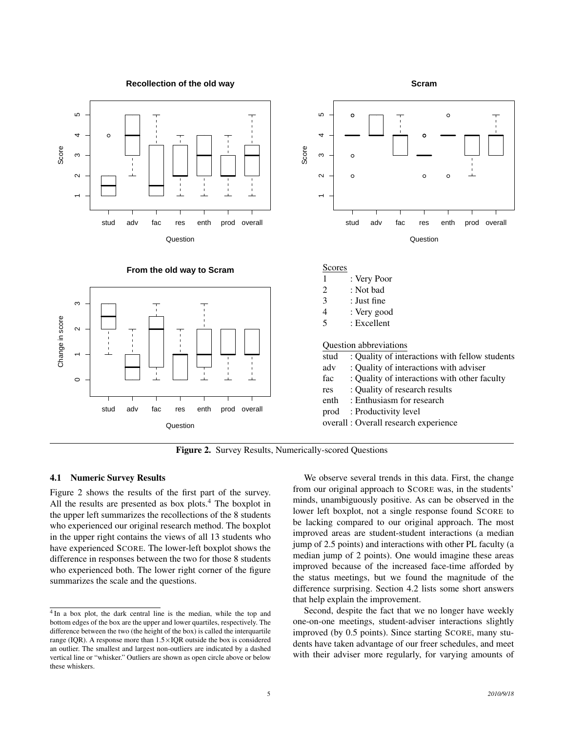

**From the old way to Scram**

**Recollection of the old way**





| Scores |             |  |
|--------|-------------|--|
|        | : Very Poor |  |
|        |             |  |

| 2 | : Not bad |  |
|---|-----------|--|
|   |           |  |

- 3 : Just fine
- 4 : Very good
- 5 : Excellent

Question abbreviations

|  |  | stud : Quality of interactions with fellow students |  |  |
|--|--|-----------------------------------------------------|--|--|
|  |  |                                                     |  |  |

**Scram**

- adv : Quality of interactions with adviser
- fac : Quality of interactions with other faculty
- res : Quality of research results
- enth : Enthusiasm for research
- prod : Productivity level

overall : Overall research experience

Figure 2. Survey Results, Numerically-scored Questions

#### 4.1 Numeric Survey Results

Figure 2 shows the results of the first part of the survey. All the results are presented as box plots.<sup>4</sup> The boxplot in the upper left summarizes the recollections of the 8 students who experienced our original research method. The boxplot in the upper right contains the views of all 13 students who have experienced SCORE. The lower-left boxplot shows the difference in responses between the two for those 8 students who experienced both. The lower right corner of the figure summarizes the scale and the questions.

We observe several trends in this data. First, the change from our original approach to SCORE was, in the students' minds, unambiguously positive. As can be observed in the lower left boxplot, not a single response found SCORE to be lacking compared to our original approach. The most improved areas are student-student interactions (a median jump of 2.5 points) and interactions with other PL faculty (a median jump of 2 points). One would imagine these areas improved because of the increased face-time afforded by the status meetings, but we found the magnitude of the difference surprising. Section 4.2 lists some short answers that help explain the improvement.

Second, despite the fact that we no longer have weekly one-on-one meetings, student-adviser interactions slightly improved (by 0.5 points). Since starting SCORE, many students have taken advantage of our freer schedules, and meet with their adviser more regularly, for varying amounts of

<sup>&</sup>lt;sup>4</sup> In a box plot, the dark central line is the median, while the top and bottom edges of the box are the upper and lower quartiles, respectively. The difference between the two (the height of the box) is called the interquartile range (IQR). A response more than  $1.5 \times$  IQR outside the box is considered an outlier. The smallest and largest non-outliers are indicated by a dashed vertical line or "whisker." Outliers are shown as open circle above or below these whiskers.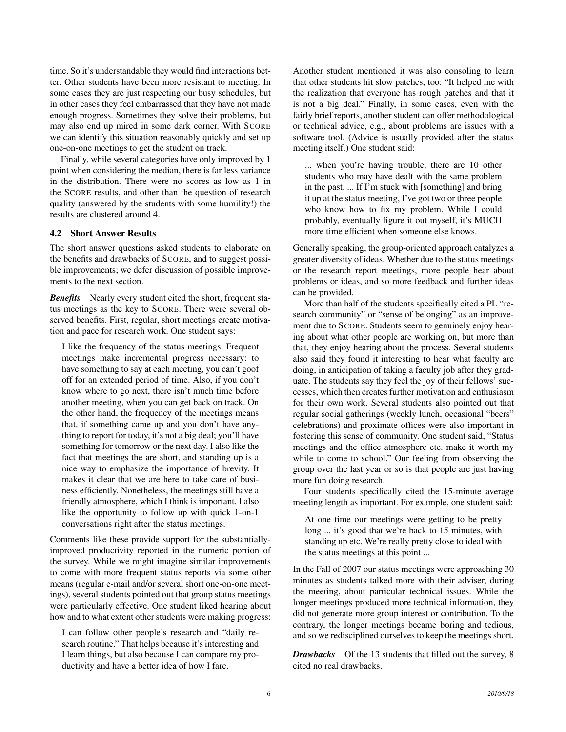time. So it's understandable they would find interactions better. Other students have been more resistant to meeting. In some cases they are just respecting our busy schedules, but in other cases they feel embarrassed that they have not made enough progress. Sometimes they solve their problems, but may also end up mired in some dark corner. With SCORE we can identify this situation reasonably quickly and set up one-on-one meetings to get the student on track.

Finally, while several categories have only improved by 1 point when considering the median, there is far less variance in the distribution. There were no scores as low as 1 in the SCORE results, and other than the question of research quality (answered by the students with some humility!) the results are clustered around 4.

#### 4.2 Short Answer Results

The short answer questions asked students to elaborate on the benefits and drawbacks of SCORE, and to suggest possible improvements; we defer discussion of possible improvements to the next section.

*Benefits* Nearly every student cited the short, frequent status meetings as the key to SCORE. There were several observed benefits. First, regular, short meetings create motivation and pace for research work. One student says:

I like the frequency of the status meetings. Frequent meetings make incremental progress necessary: to have something to say at each meeting, you can't goof off for an extended period of time. Also, if you don't know where to go next, there isn't much time before another meeting, when you can get back on track. On the other hand, the frequency of the meetings means that, if something came up and you don't have anything to report for today, it's not a big deal; you'll have something for tomorrow or the next day. I also like the fact that meetings the are short, and standing up is a nice way to emphasize the importance of brevity. It makes it clear that we are here to take care of business efficiently. Nonetheless, the meetings still have a friendly atmosphere, which I think is important. I also like the opportunity to follow up with quick 1-on-1 conversations right after the status meetings.

Comments like these provide support for the substantiallyimproved productivity reported in the numeric portion of the survey. While we might imagine similar improvements to come with more frequent status reports via some other means (regular e-mail and/or several short one-on-one meetings), several students pointed out that group status meetings were particularly effective. One student liked hearing about how and to what extent other students were making progress:

I can follow other people's research and "daily research routine." That helps because it's interesting and I learn things, but also because I can compare my productivity and have a better idea of how I fare.

Another student mentioned it was also consoling to learn that other students hit slow patches, too: "It helped me with the realization that everyone has rough patches and that it is not a big deal." Finally, in some cases, even with the fairly brief reports, another student can offer methodological or technical advice, e.g., about problems are issues with a software tool. (Advice is usually provided after the status meeting itself.) One student said:

... when you're having trouble, there are 10 other students who may have dealt with the same problem in the past. ... If I'm stuck with [something] and bring it up at the status meeting, I've got two or three people who know how to fix my problem. While I could probably, eventually figure it out myself, it's MUCH more time efficient when someone else knows.

Generally speaking, the group-oriented approach catalyzes a greater diversity of ideas. Whether due to the status meetings or the research report meetings, more people hear about problems or ideas, and so more feedback and further ideas can be provided.

More than half of the students specifically cited a PL "research community" or "sense of belonging" as an improvement due to SCORE. Students seem to genuinely enjoy hearing about what other people are working on, but more than that, they enjoy hearing about the process. Several students also said they found it interesting to hear what faculty are doing, in anticipation of taking a faculty job after they graduate. The students say they feel the joy of their fellows' successes, which then creates further motivation and enthusiasm for their own work. Several students also pointed out that regular social gatherings (weekly lunch, occasional "beers" celebrations) and proximate offices were also important in fostering this sense of community. One student said, "Status meetings and the office atmosphere etc. make it worth my while to come to school." Our feeling from observing the group over the last year or so is that people are just having more fun doing research.

Four students specifically cited the 15-minute average meeting length as important. For example, one student said:

At one time our meetings were getting to be pretty long ... it's good that we're back to 15 minutes, with standing up etc. We're really pretty close to ideal with the status meetings at this point ...

In the Fall of 2007 our status meetings were approaching 30 minutes as students talked more with their adviser, during the meeting, about particular technical issues. While the longer meetings produced more technical information, they did not generate more group interest or contribution. To the contrary, the longer meetings became boring and tedious, and so we redisciplined ourselves to keep the meetings short.

*Drawbacks* Of the 13 students that filled out the survey, 8 cited no real drawbacks.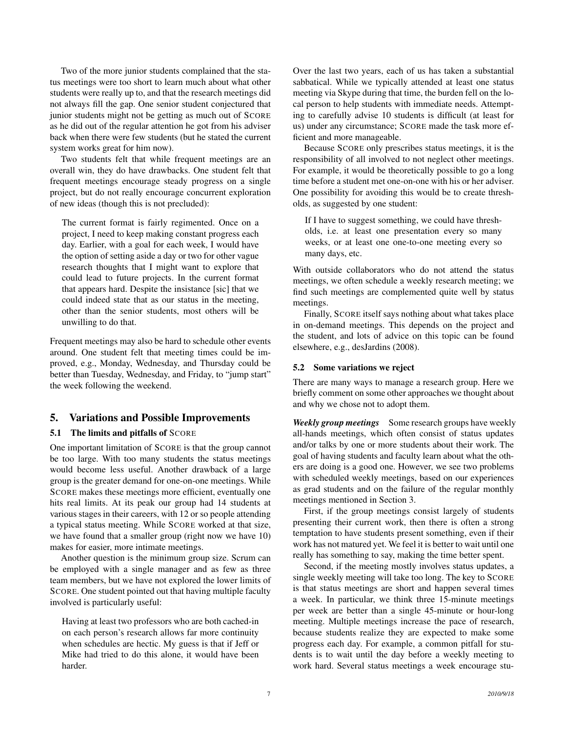Two of the more junior students complained that the status meetings were too short to learn much about what other students were really up to, and that the research meetings did not always fill the gap. One senior student conjectured that junior students might not be getting as much out of SCORE as he did out of the regular attention he got from his adviser back when there were few students (but he stated the current system works great for him now).

Two students felt that while frequent meetings are an overall win, they do have drawbacks. One student felt that frequent meetings encourage steady progress on a single project, but do not really encourage concurrent exploration of new ideas (though this is not precluded):

The current format is fairly regimented. Once on a project, I need to keep making constant progress each day. Earlier, with a goal for each week, I would have the option of setting aside a day or two for other vague research thoughts that I might want to explore that could lead to future projects. In the current format that appears hard. Despite the insistance [sic] that we could indeed state that as our status in the meeting, other than the senior students, most others will be unwilling to do that.

Frequent meetings may also be hard to schedule other events around. One student felt that meeting times could be improved, e.g., Monday, Wednesday, and Thursday could be better than Tuesday, Wednesday, and Friday, to "jump start" the week following the weekend.

# 5. Variations and Possible Improvements

#### 5.1 The limits and pitfalls of SCORE

One important limitation of SCORE is that the group cannot be too large. With too many students the status meetings would become less useful. Another drawback of a large group is the greater demand for one-on-one meetings. While SCORE makes these meetings more efficient, eventually one hits real limits. At its peak our group had 14 students at various stages in their careers, with 12 or so people attending a typical status meeting. While SCORE worked at that size, we have found that a smaller group (right now we have 10) makes for easier, more intimate meetings.

Another question is the minimum group size. Scrum can be employed with a single manager and as few as three team members, but we have not explored the lower limits of SCORE. One student pointed out that having multiple faculty involved is particularly useful:

Having at least two professors who are both cached-in on each person's research allows far more continuity when schedules are hectic. My guess is that if Jeff or Mike had tried to do this alone, it would have been harder.

Over the last two years, each of us has taken a substantial sabbatical. While we typically attended at least one status meeting via Skype during that time, the burden fell on the local person to help students with immediate needs. Attempting to carefully advise 10 students is difficult (at least for us) under any circumstance; SCORE made the task more efficient and more manageable.

Because SCORE only prescribes status meetings, it is the responsibility of all involved to not neglect other meetings. For example, it would be theoretically possible to go a long time before a student met one-on-one with his or her adviser. One possibility for avoiding this would be to create thresholds, as suggested by one student:

If I have to suggest something, we could have thresholds, i.e. at least one presentation every so many weeks, or at least one one-to-one meeting every so many days, etc.

With outside collaborators who do not attend the status meetings, we often schedule a weekly research meeting; we find such meetings are complemented quite well by status meetings.

Finally, SCORE itself says nothing about what takes place in on-demand meetings. This depends on the project and the student, and lots of advice on this topic can be found elsewhere, e.g., desJardins (2008).

#### 5.2 Some variations we reject

There are many ways to manage a research group. Here we briefly comment on some other approaches we thought about and why we chose not to adopt them.

*Weekly group meetings* Some research groups have weekly all-hands meetings, which often consist of status updates and/or talks by one or more students about their work. The goal of having students and faculty learn about what the others are doing is a good one. However, we see two problems with scheduled weekly meetings, based on our experiences as grad students and on the failure of the regular monthly meetings mentioned in Section 3.

First, if the group meetings consist largely of students presenting their current work, then there is often a strong temptation to have students present something, even if their work has not matured yet. We feel it is better to wait until one really has something to say, making the time better spent.

Second, if the meeting mostly involves status updates, a single weekly meeting will take too long. The key to SCORE is that status meetings are short and happen several times a week. In particular, we think three 15-minute meetings per week are better than a single 45-minute or hour-long meeting. Multiple meetings increase the pace of research, because students realize they are expected to make some progress each day. For example, a common pitfall for students is to wait until the day before a weekly meeting to work hard. Several status meetings a week encourage stu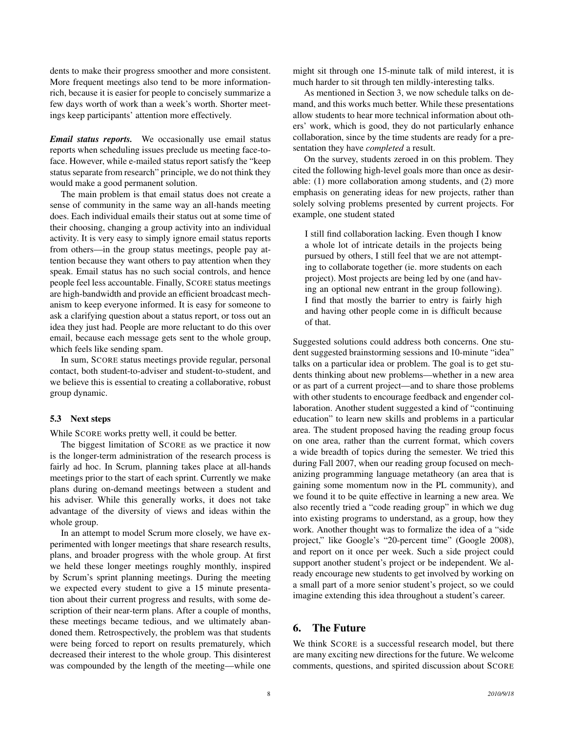dents to make their progress smoother and more consistent. More frequent meetings also tend to be more informationrich, because it is easier for people to concisely summarize a few days worth of work than a week's worth. Shorter meetings keep participants' attention more effectively.

*Email status reports.* We occasionally use email status reports when scheduling issues preclude us meeting face-toface. However, while e-mailed status report satisfy the "keep status separate from research" principle, we do not think they would make a good permanent solution.

The main problem is that email status does not create a sense of community in the same way an all-hands meeting does. Each individual emails their status out at some time of their choosing, changing a group activity into an individual activity. It is very easy to simply ignore email status reports from others—in the group status meetings, people pay attention because they want others to pay attention when they speak. Email status has no such social controls, and hence people feel less accountable. Finally, SCORE status meetings are high-bandwidth and provide an efficient broadcast mechanism to keep everyone informed. It is easy for someone to ask a clarifying question about a status report, or toss out an idea they just had. People are more reluctant to do this over email, because each message gets sent to the whole group, which feels like sending spam.

In sum, SCORE status meetings provide regular, personal contact, both student-to-adviser and student-to-student, and we believe this is essential to creating a collaborative, robust group dynamic.

#### 5.3 Next steps

While SCORE works pretty well, it could be better.

The biggest limitation of SCORE as we practice it now is the longer-term administration of the research process is fairly ad hoc. In Scrum, planning takes place at all-hands meetings prior to the start of each sprint. Currently we make plans during on-demand meetings between a student and his adviser. While this generally works, it does not take advantage of the diversity of views and ideas within the whole group.

In an attempt to model Scrum more closely, we have experimented with longer meetings that share research results, plans, and broader progress with the whole group. At first we held these longer meetings roughly monthly, inspired by Scrum's sprint planning meetings. During the meeting we expected every student to give a 15 minute presentation about their current progress and results, with some description of their near-term plans. After a couple of months, these meetings became tedious, and we ultimately abandoned them. Retrospectively, the problem was that students were being forced to report on results prematurely, which decreased their interest to the whole group. This disinterest was compounded by the length of the meeting—while one might sit through one 15-minute talk of mild interest, it is much harder to sit through ten mildly-interesting talks.

As mentioned in Section 3, we now schedule talks on demand, and this works much better. While these presentations allow students to hear more technical information about others' work, which is good, they do not particularly enhance collaboration, since by the time students are ready for a presentation they have *completed* a result.

On the survey, students zeroed in on this problem. They cited the following high-level goals more than once as desirable: (1) more collaboration among students, and (2) more emphasis on generating ideas for new projects, rather than solely solving problems presented by current projects. For example, one student stated

I still find collaboration lacking. Even though I know a whole lot of intricate details in the projects being pursued by others, I still feel that we are not attempting to collaborate together (ie. more students on each project). Most projects are being led by one (and having an optional new entrant in the group following). I find that mostly the barrier to entry is fairly high and having other people come in is difficult because of that.

Suggested solutions could address both concerns. One student suggested brainstorming sessions and 10-minute "idea" talks on a particular idea or problem. The goal is to get students thinking about new problems—whether in a new area or as part of a current project—and to share those problems with other students to encourage feedback and engender collaboration. Another student suggested a kind of "continuing education" to learn new skills and problems in a particular area. The student proposed having the reading group focus on one area, rather than the current format, which covers a wide breadth of topics during the semester. We tried this during Fall 2007, when our reading group focused on mechanizing programming language metatheory (an area that is gaining some momentum now in the PL community), and we found it to be quite effective in learning a new area. We also recently tried a "code reading group" in which we dug into existing programs to understand, as a group, how they work. Another thought was to formalize the idea of a "side project," like Google's "20-percent time" (Google 2008), and report on it once per week. Such a side project could support another student's project or be independent. We already encourage new students to get involved by working on a small part of a more senior student's project, so we could imagine extending this idea throughout a student's career.

## 6. The Future

We think SCORE is a successful research model, but there are many exciting new directions for the future. We welcome comments, questions, and spirited discussion about SCORE